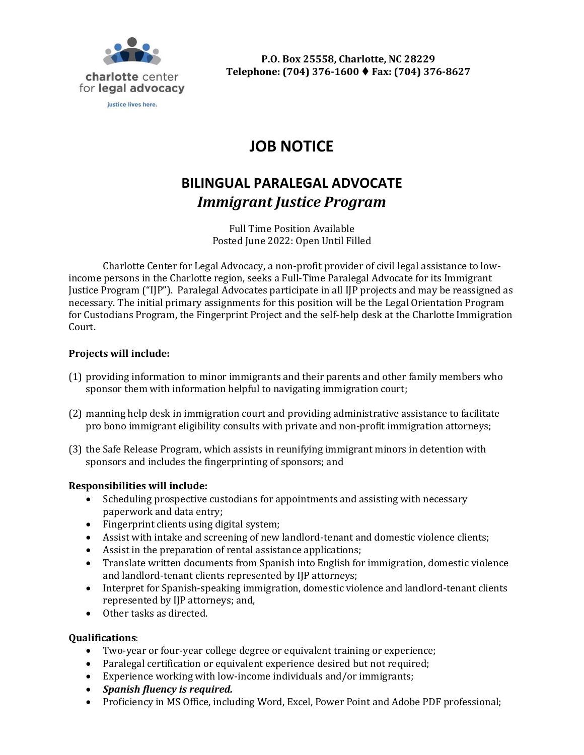

#### justice lives here.

# **JOB NOTICE**

# **BILINGUAL PARALEGAL ADVOCATE** *Immigrant Justice Program*

Full Time Position Available Posted June 2022: Open Until Filled

Charlotte Center for Legal Advocacy, a non-profit provider of civil legal assistance to lowincome persons in the Charlotte region, seeks a Full-Time Paralegal Advocate for its Immigrant Justice Program ("IJP"). Paralegal Advocates participate in all IJP projects and may be reassigned as necessary. The initial primary assignments for this position will be the Legal Orientation Program for Custodians Program, the Fingerprint Project and the self-help desk at the Charlotte Immigration Court.

#### **Projects will include:**

- (1) providing information to minor immigrants and their parents and other family members who sponsor them with information helpful to navigating immigration court;
- (2) manning help desk in immigration court and providing administrative assistance to facilitate pro bono immigrant eligibility consults with private and non-profit immigration attorneys;
- (3) the Safe Release Program, which assists in reunifying immigrant minors in detention with sponsors and includes the fingerprinting of sponsors; and

#### **Responsibilities will include:**

- Scheduling prospective custodians for appointments and assisting with necessary paperwork and data entry;
- Fingerprint clients using digital system;
- Assist with intake and screening of new landlord-tenant and domestic violence clients;
- Assist in the preparation of rental assistance applications;
- Translate written documents from Spanish into English for immigration, domestic violence and landlord-tenant clients represented by IJP attorneys;
- Interpret for Spanish-speaking immigration, domestic violence and landlord-tenant clients represented by IJP attorneys; and,
- Other tasks as directed.

#### **Qualifications**:

- Two-year or four-year college degree or equivalent training or experience;
- Paralegal certification or equivalent experience desired but not required;
- Experience working with low-income individuals and/or immigrants;
- *Spanish fluency is required.*
- Proficiency in MS Office, including Word, Excel, Power Point and Adobe PDF professional;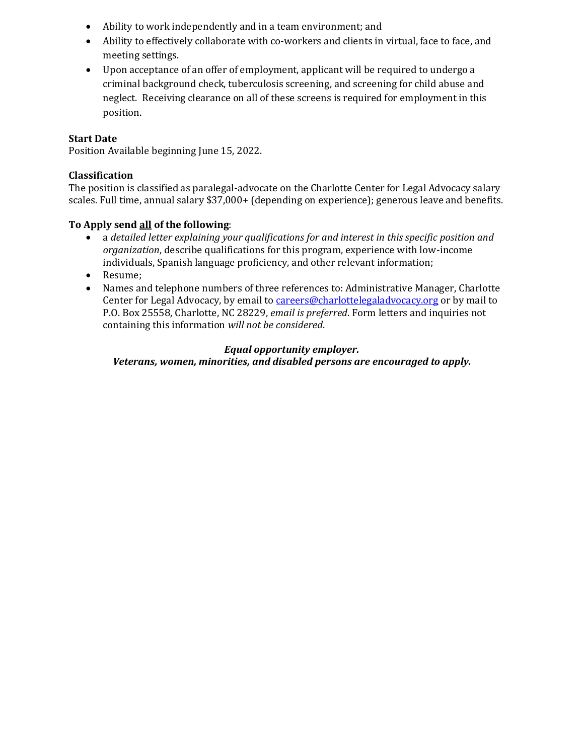- Ability to work independently and in a team environment; and
- Ability to effectively collaborate with co-workers and clients in virtual, face to face, and meeting settings.
- Upon acceptance of an offer of employment, applicant will be required to undergo a criminal background check, tuberculosis screening, and screening for child abuse and neglect. Receiving clearance on all of these screens is required for employment in this position.

## **Start Date**

Position Available beginning June 15, 2022.

## **Classification**

The position is classified as paralegal-advocate on the Charlotte Center for Legal Advocacy salary scales. Full time, annual salary \$37,000+ (depending on experience); generous leave and benefits.

## **To Apply send all of the following**:

- a *detailed letter explaining your qualifications for and interest in this specific position and organization*, describe qualifications for this program, experience with low-income individuals, Spanish language proficiency, and other relevant information;
- Resume;
- Names and telephone numbers of three references to: Administrative Manager, Charlotte Center for Legal Advocacy, by email to [careers@charlottelegaladvocacy.org](mailto:careers@charlottelegaladvocacy.org) or by mail to P.O. Box 25558, Charlotte, NC 28229, *email is preferred*. Form letters and inquiries not containing this information *will not be considered*.

# *Equal opportunity employer.*

*Veterans, women, minorities, and disabled persons are encouraged to apply.*